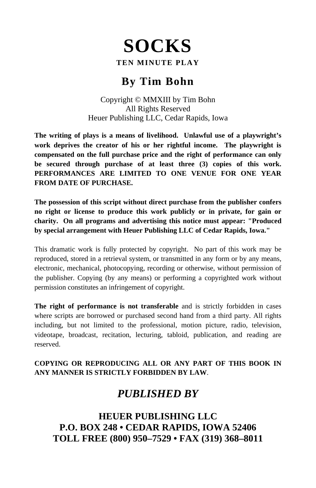# **SOCKS**

#### **TEN MINUTE PLAY**

# **By Tim Bohn**

Copyright © MMXIII by Tim Bohn All Rights Reserved Heuer Publishing LLC, Cedar Rapids, Iowa

**The writing of plays is a means of livelihood. Unlawful use of a playwright's work deprives the creator of his or her rightful income. The playwright is compensated on the full purchase price and the right of performance can only be secured through purchase of at least three (3) copies of this work. PERFORMANCES ARE LIMITED TO ONE VENUE FOR ONE YEAR FROM DATE OF PURCHASE.** 

**The possession of this script without direct purchase from the publisher confers no right or license to produce this work publicly or in private, for gain or charity. On all programs and advertising this notice must appear: "Produced by special arrangement with Heuer Publishing LLC of Cedar Rapids, Iowa."** 

This dramatic work is fully protected by copyright. No part of this work may be reproduced, stored in a retrieval system, or transmitted in any form or by any means, electronic, mechanical, photocopying, recording or otherwise, without permission of the publisher. Copying (by any means) or performing a copyrighted work without permission constitutes an infringement of copyright.

**The right of performance is not transferable** and is strictly forbidden in cases where scripts are borrowed or purchased second hand from a third party. All rights including, but not limited to the professional, motion picture, radio, television, videotape, broadcast, recitation, lecturing, tabloid, publication, and reading are reserved.

#### **COPYING OR REPRODUCING ALL OR ANY PART OF THIS BOOK IN ANY MANNER IS STRICTLY FORBIDDEN BY LAW**.

# *PUBLISHED BY*

**HEUER PUBLISHING LLC P.O. BOX 248 • CEDAR RAPIDS, IOWA 52406 TOLL FREE (800) 950–7529 • FAX (319) 368–8011**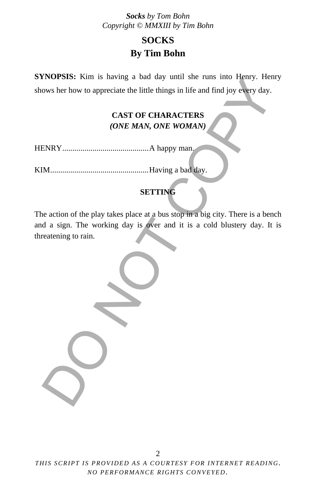# **SOCKS By Tim Bohn**

**SYNOPSIS:** Kim is having a bad day until she runs into Henry. Henry shows her how to appreciate the little things in life and find joy every day.

#### **CAST OF CHARACTERS**  *(ONE MAN, ONE WOMAN)*

HENRY ........................................... A happy man.

KIM ................................................. Having a bad day.

### **SETTING**

The action of the play takes place at a bus stop in a big city. There is a bench and a sign. The working day is over and it is a cold blustery day. It is threatening to rain. ENDISISES. KIND IS HAVING a bad taly until Site into the films into them, Find<br>ows her how to appreciate the little things in life and find joy every day.<br>CAST OF CHARACTERS<br>(*ONE MAN, ONE WOMAN*)<br>M.<br>Having a bad day.<br>SETT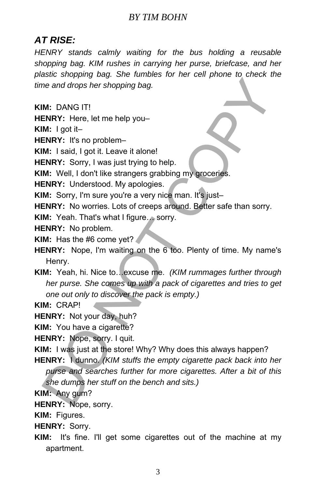#### *BY TIM BOHN*

## *AT RISE:*

*HENRY stands calmly waiting for the bus holding a reusable shopping bag. KIM rushes in carrying her purse, briefcase, and her plastic shopping bag. She fumbles for her cell phone to check the time and drops her shopping bag.* 

**KIM:** DANG IT!

**HENRY:** Here, let me help you–

**KIM:** I got it–

**HENRY:** It's no problem-

**KIM:** I said, I got it. Leave it alone!

**HENRY:** Sorry, I was just trying to help.

**KIM:** Well, I don't like strangers grabbing my groceries.

**HENRY:** Understood. My apologies.

**KIM:** Sorry, I'm sure you're a very nice man. It's just-

**HENRY:** No worries. Lots of creeps around. Better safe than sorry.

**KIM:** Yeah. That's what I figure… sorry.

**HENRY:** No problem.

**KIM:** Has the #6 come yet?

**HENRY:** Nope, I'm waiting on the 6 too. Plenty of time. My name's Henry.

**KIM:** Yeah, hi. Nice to…excuse me. *(KIM rummages further through her purse. She comes up with a pack of cigarettes and tries to get one out only to discover the pack is empty.)* me and drops her shopping bag.<br>
M: DANG IT!<br>
ENRY: Here, let me help you-<br>
M: I said, I got it.<br>
LenRY: Here, let me help you-<br>
M: I said, I got it.<br>
LenRY: Sorry, I was just trying to help.<br>
M: Well, I don't like stranger

**KIM:** CRAP!

**HENRY:** Not your day, huh?

**KIM:** You have a cigarette?

**HENRY:** Nope, sorry. I quit.

**KIM:** I was just at the store! Why? Why does this always happen?

**HENRY:** I dunno. *(KIM stuffs the empty cigarette pack back into her purse and searches further for more cigarettes. After a bit of this she dumps her stuff on the bench and sits.)*

**KIM:** Any gum?

**HENRY:** Nope, sorry.

**KIM:** Figures.

**HENRY:** Sorry.

**KIM:** It's fine. I'll get some cigarettes out of the machine at my apartment.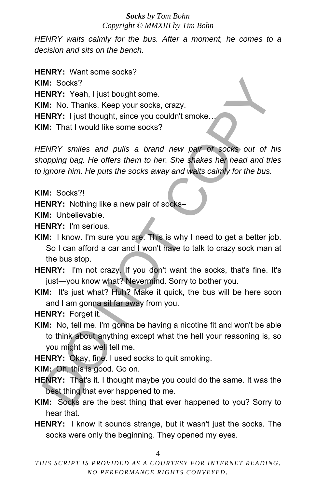*HENRY waits calmly for the bus. After a moment, he comes to a decision and sits on the bench.* 

**HENRY:** Want some socks? **KIM:** Socks? **HENRY:** Yeah, I just bought some. **KIM:** No. Thanks. Keep your socks, crazy. **HENRY:** I just thought, since you couldn't smoke. **KIM:** That I would like some socks? M: Socks?<br>
IN: Socks?<br>
IN: Yeah, I just bought some.<br>
IN: No. Thanks. Keep your socks, crazy.<br>
IN: No. Thanks. Keep your socks, crazy.<br>
IN: That I would like some socks?<br>
ISEN EVATY: first insume that is a brand new pair o

*HENRY smiles and pulls a brand new pair of socks out of his shopping bag. He offers them to her. She shakes her head and tries to ignore him. He puts the socks away and waits calmly for the bus.* 

**KIM:** Socks?!

**HENRY:** Nothing like a new pair of socks–

**KIM:** Unbelievable.

**HENRY:** I'm serious.

- **KIM:** I know. I'm sure you are. This is why I need to get a better job. So I can afford a car and I won't have to talk to crazy sock man at the bus stop.
- **HENRY:** I'm not crazy. If you don't want the socks, that's fine. It's just-you know what? Nevermind. Sorry to bother you.
- **KIM:** It's just what? Huh? Make it quick, the bus will be here soon and I am gonna sit far away from you.

**HENRY:** Forget it.

- **KIM:** No, tell me. I'm gonna be having a nicotine fit and won't be able to think about anything except what the hell your reasoning is, so you might as well tell me.
- **HENRY:** Okay, fine. I used socks to quit smoking.

**KIM:** Oh, this is good. Go on.

- **HENRY:** That's it. I thought maybe you could do the same. It was the best thing that ever happened to me.
- **KIM:** Socks are the best thing that ever happened to you? Sorry to hear that.
- **HENRY:** I know it sounds strange, but it wasn't just the socks. The socks were only the beginning. They opened my eyes.

4

*THIS SCRIPT IS PROVIDED AS A COURTESY FOR INTERNET READING. NO PERFORMANCE RIGHTS CONVEYED.*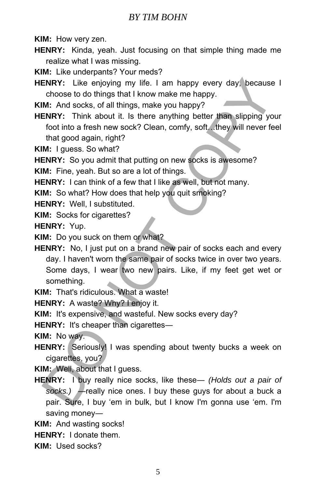#### *BY TIM BOHN*

**KIM:** How very zen.

- **HENRY:** Kinda, yeah. Just focusing on that simple thing made me realize what I was missing.
- **KIM:** Like underpants? Your meds?
- **HENRY:** Like enjoying my life. I am happy every day, because I choose to do things that I know make me happy.

**KIM:** And socks, of all things, make you happy?

**HENRY:** Think about it. Is there anything better than slipping your foot into a fresh new sock? Clean, comfy, soft…they will never feel that good again, right?

**KIM:** I guess. So what?

**HENRY:** So you admit that putting on new socks is awesome?

**KIM:** Fine, yeah. But so are a lot of things.

**HENRY:** I can think of a few that I like as well, but not many.

**KIM:** So what? How does that help you quit smoking?

**HENRY:** Well, I substituted.

**KIM:** Socks for cigarettes?

**HENRY:** Yup.

**KIM:** Do you suck on them or what?

**HENRY:** No, I just put on a brand new pair of socks each and every day. I haven't worn the same pair of socks twice in over two years. Some days, I wear two new pairs. Like, if my feet get wet or something. ENRY: Like enjoying my life. I am happy every day, because<br>choose to do things that I know make me happy.<br>M. And socks, of all things, make you happy?<br>
ENRY: Think about it. Is there anything better than slipping yo<br>foot i

**KIM:** That's ridiculous. What a waste!

**HENRY:** A waste? Why? I enjoy it.

**KIM:** It's expensive, and wasteful. New socks every day?

**HENRY:** It's cheaper than cigarettes-

**KIM:** No way.

**HENRY:** Seriously! I was spending about twenty bucks a week on cigarettes, you?

**KIM:** Well, about that I guess.

**HENRY:** I buy really nice socks, like these― *(Holds out a pair of socks.)* ―really nice ones. I buy these guys for about a buck a pair. Sure, I buy 'em in bulk, but I know I'm gonna use 'em. I'm saving money―

**KIM:** And wasting socks!

**HENRY:** I donate them.

**KIM:** Used socks?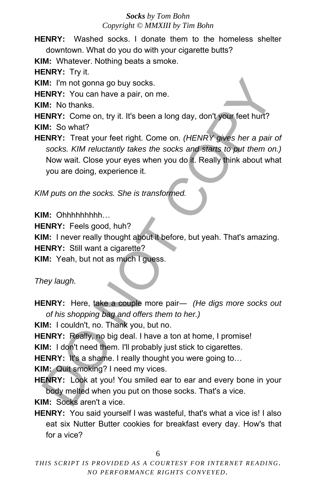**HENRY:** Washed socks. I donate them to the homeless shelter downtown. What do you do with your cigarette butts?

**KIM:** Whatever. Nothing beats a smoke.

**HENRY:** Try it.

**KIM:** I'm not gonna go buy socks.

**HENRY:** You can have a pair, on me.

**KIM:** No thanks.

**HENRY:** Come on, try it. It's been a long day, don't your feet hurt? **KIM:** So what?

**HENRY:** Treat your feet right. Come on. *(HENRY gives her a pair of socks. KIM reluctantly takes the socks and starts to put them on.)* Now wait. Close your eyes when you do it. Really think about what you are doing, experience it. M: I'm not gonna go buy socks.<br> **ENRY:** You can have a pair, on me.<br> **ENRY:** You can have a pair, on me.<br> **ENRY:** Come on, try it. It's been a long day, don't your feet hurt?<br>
M: So what?<br> **ENRY:** Treat your feet right. Co

*KIM puts on the socks. She is transformed.* 

**KIM:** Ohhhhhhhhh…

**HENRY:** Feels good, huh?

**KIM:** I never really thought about it before, but yeah. That's amazing.

**HENRY:** Still want a cigarette?

**KIM:** Yeah, but not as much I guess.

*They laugh.* 

**HENRY:** Here, take a couple more pair― *(He digs more socks out of his shopping bag and offers them to her.)*

**KIM:** I couldn't, no. Thank you, but no.

**HENRY:** Really, no big deal. I have a ton at home, I promise!

**KIM:** I don't need them. I'll probably just stick to cigarettes.

**HENRY:** It's a shame. I really thought you were going to...

**KIM:** Quit smoking? I need my vices.

**HENRY:** Look at you! You smiled ear to ear and every bone in your body melted when you put on those socks. That's a vice.

**KIM:** Socks aren't a vice.

**HENRY:** You said yourself I was wasteful, that's what a vice is! I also eat six Nutter Butter cookies for breakfast every day. How's that for a vice?

6

*THIS SCRIPT IS PROVIDED AS A COURTESY FOR INTERNET READING. NO PERFORMANCE RIGHTS CONVEYED.*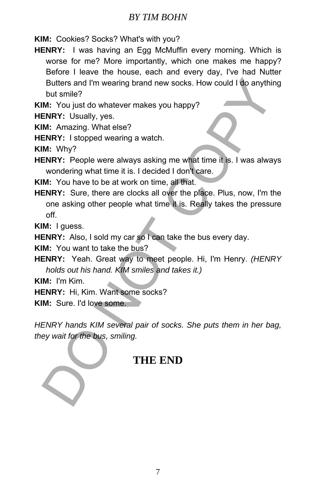#### *BY TIM BOHN*

**KIM:** Cookies? Socks? What's with you?

**HENRY:** I was having an Egg McMuffin every morning. Which is worse for me? More importantly, which one makes me happy? Before I leave the house, each and every day, I've had Nutter Butters and I'm wearing brand new socks. How could I do anything but smile?

**KIM:** You just do whatever makes you happy?

**HENRY:** Usually, yes.

**KIM:** Amazing. What else?

**HENRY:** I stopped wearing a watch.

**KIM:** Why?

**HENRY:** People were always asking me what time it is. I was always wondering what time it is. I decided I don't care.

**KIM:** You have to be at work on time, all that.

**HENRY:** Sure, there are clocks all over the place. Plus, now, I'm the one asking other people what time it is. Really takes the pressure off. Butters and I'm wearing brand new socks. How could I do anythit<br>
but smile?<br>
Mt smile?<br>
Mt You just do whatever makes you happy?<br>
NRY: Usually, yes.<br>
M: Amazing. What else?<br>
NRY: Isopped wearing a watch.<br>
M: Why?<br>
ENRY: Pe

**KIM:** I guess.

**HENRY:** Also, I sold my car so I can take the bus every day.

**KIM:** You want to take the bus?

**HENRY:** Yeah. Great way to meet people. Hi, I'm Henry. *(HENRY holds out his hand. KIM smiles and takes it.)*

**KIM:** I'm Kim.

**HENRY:** Hi, Kim. Want some socks?

**KIM:** Sure. I'd love some.

*HENRY hands KIM several pair of socks. She puts them in her bag, they wait for the bus, smiling.* 

## **THE END**